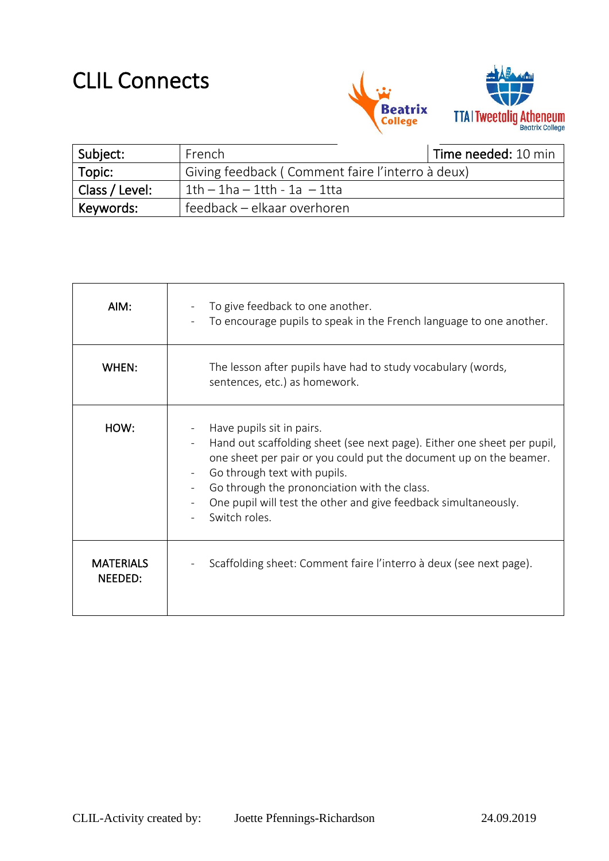## CLIL Connects



| Subject:                    | French                                           | Time needed: 10 min |
|-----------------------------|--------------------------------------------------|---------------------|
| Topic:                      | Giving feedback (Comment faire l'interro à deux) |                     |
| <sup>1</sup> Class / Level: | $1th - 1ha - 1th - 1a - 1tta$                    |                     |
| Keywords:                   | feedback – elkaar overhoren                      |                     |

| AIM:                        | To give feedback to one another.<br>To encourage pupils to speak in the French language to one another.                                                                                                                                                                                                                                        |
|-----------------------------|------------------------------------------------------------------------------------------------------------------------------------------------------------------------------------------------------------------------------------------------------------------------------------------------------------------------------------------------|
| WHEN:                       | The lesson after pupils have had to study vocabulary (words,<br>sentences, etc.) as homework.                                                                                                                                                                                                                                                  |
| HOW:                        | Have pupils sit in pairs.<br>Hand out scaffolding sheet (see next page). Either one sheet per pupil,<br>one sheet per pair or you could put the document up on the beamer.<br>Go through text with pupils.<br>Go through the prononciation with the class.<br>One pupil will test the other and give feedback simultaneously.<br>Switch roles. |
| <b>MATERIALS</b><br>NEEDED: | Scaffolding sheet: Comment faire l'interro à deux (see next page).                                                                                                                                                                                                                                                                             |